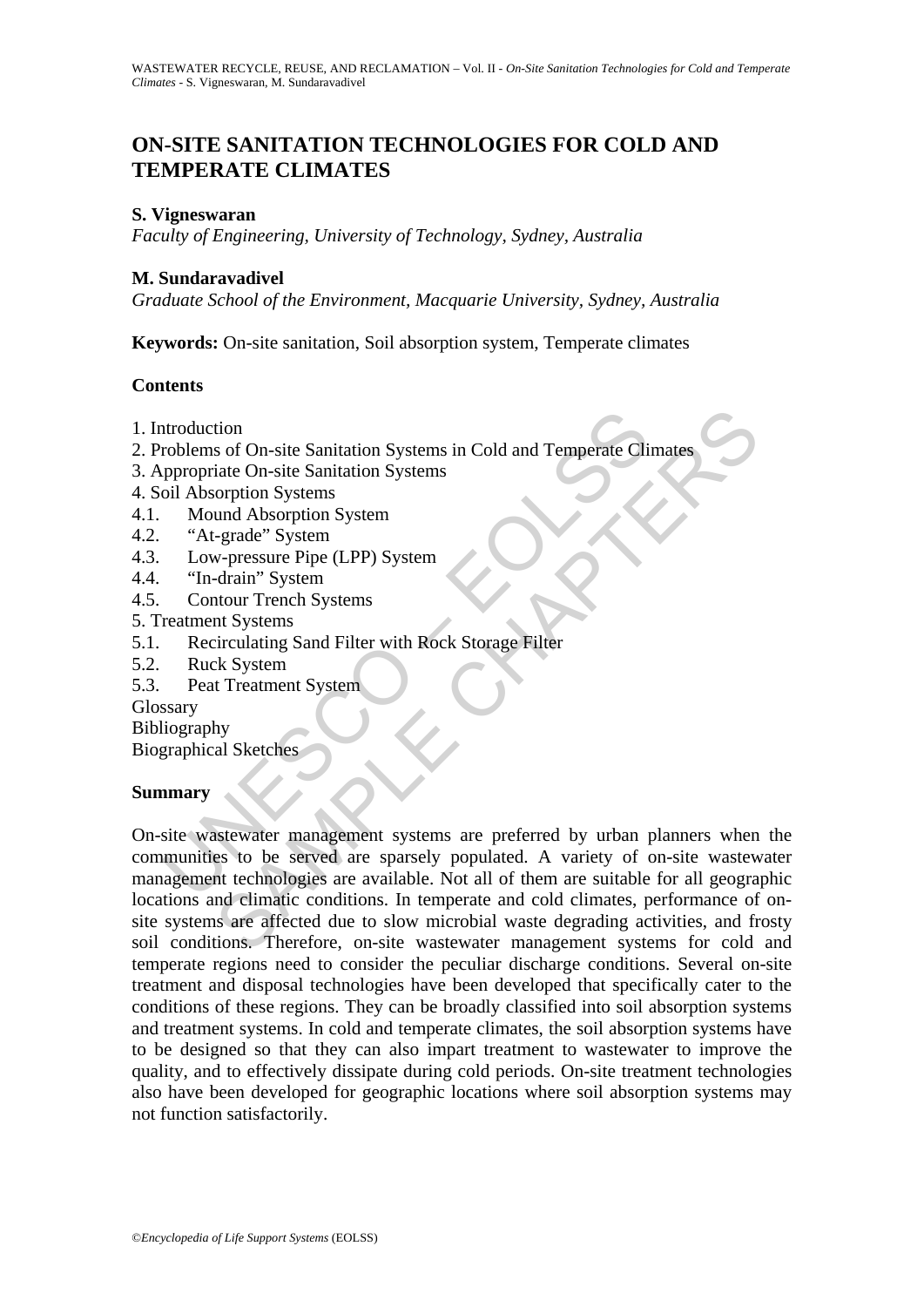# **ON-SITE SANITATION TECHNOLOGIES FOR COLD AND TEMPERATE CLIMATES**

### **S. Vigneswaran**

*Faculty of Engineering, University of Technology, Sydney, Australia* 

### **M. Sundaravadivel**

*Graduate School of the Environment, Macquarie University, Sydney, Australia* 

**Keywords:** On-site sanitation, Soil absorption system, Temperate climates

### **Contents**

- 1. Introduction
- 2. Problems of On-site Sanitation Systems in Cold and Temperate Climates
- 3. Appropriate On-site Sanitation Systems
- 4. Soil Absorption Systems
- 4.1. Mound Absorption System
- 4.2. "At-grade" System
- 4.3. Low-pressure Pipe (LPP) System
- 4.4. "In-drain" System
- 4.5. Contour Trench Systems
- 5. Treatment Systems
- 5.1. Recirculating Sand Filter with Rock Storage Filter
- 5.2. Ruck System
- 5.3. Peat Treatment System

Glossary

Bibliography

Biographical Sketches

## **Summary**

Moduction<br>
Introduction<br>
Introduction Systems<br>
incontent On-site Sanitation Systems<br>
oil Absorption Systems<br>
Mound Absorption System<br>
"At-grade" System<br>
"Low-pressure Pipe (LPP) System<br>
"In-drain" System<br>
"In-drain" System tion<br>
sof On-site Sanitation Systems<br>
incorption Systems<br>
und Absorption System<br>
und Absorption System<br>
und Absorption System<br>
und Absorption System<br>
und Absorption System<br>
therain "System<br>
therain" System<br>
intour Trench S On-site wastewater management systems are preferred by urban planners when the communities to be served are sparsely populated. A variety of on-site wastewater management technologies are available. Not all of them are suitable for all geographic locations and climatic conditions. In temperate and cold climates, performance of onsite systems are affected due to slow microbial waste degrading activities, and frosty soil conditions. Therefore, on-site wastewater management systems for cold and temperate regions need to consider the peculiar discharge conditions. Several on-site treatment and disposal technologies have been developed that specifically cater to the conditions of these regions. They can be broadly classified into soil absorption systems and treatment systems. In cold and temperate climates, the soil absorption systems have to be designed so that they can also impart treatment to wastewater to improve the quality, and to effectively dissipate during cold periods. On-site treatment technologies also have been developed for geographic locations where soil absorption systems may not function satisfactorily.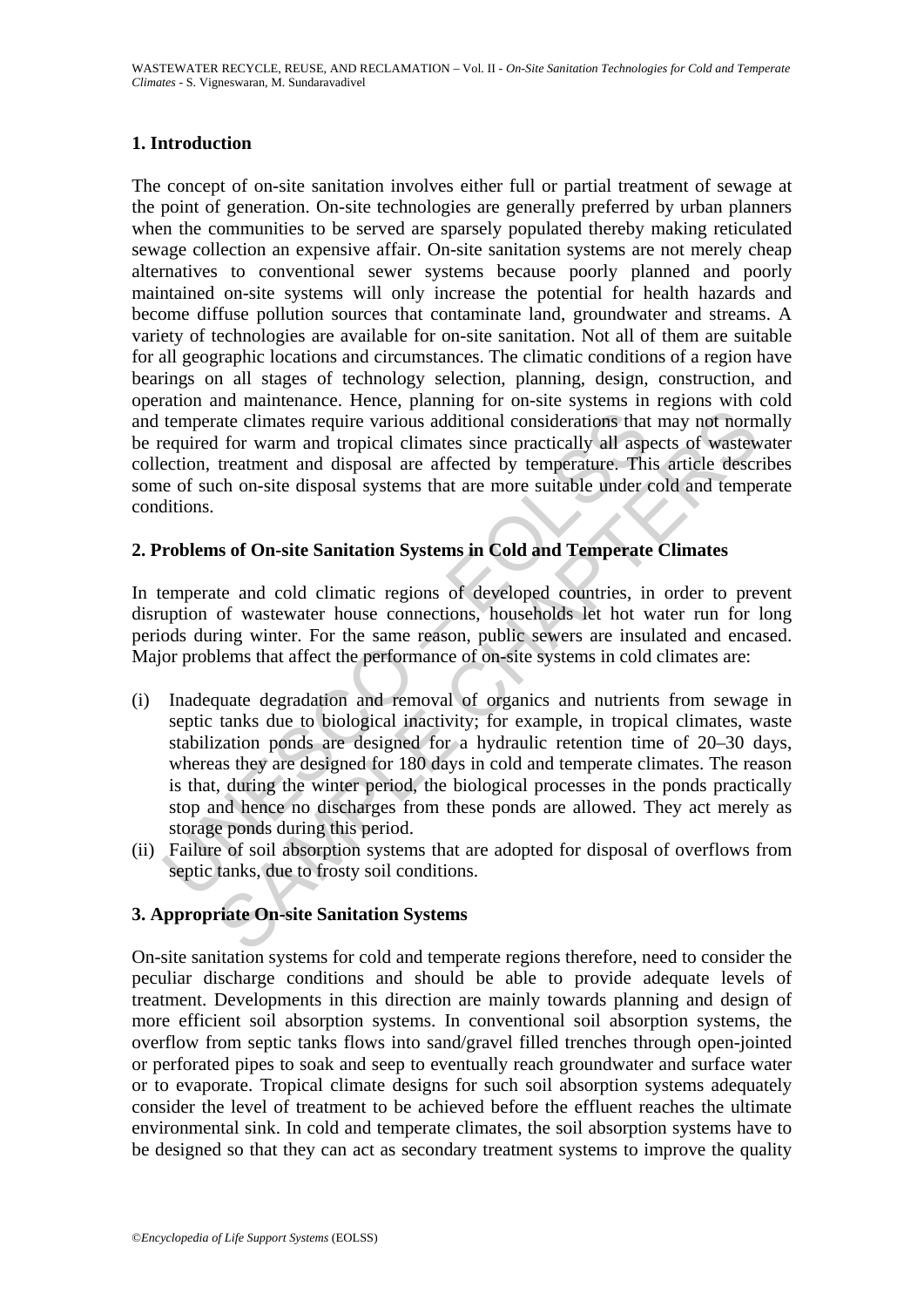# **1. Introduction**

The concept of on-site sanitation involves either full or partial treatment of sewage at the point of generation. On-site technologies are generally preferred by urban planners when the communities to be served are sparsely populated thereby making reticulated sewage collection an expensive affair. On-site sanitation systems are not merely cheap alternatives to conventional sewer systems because poorly planned and poorly maintained on-site systems will only increase the potential for health hazards and become diffuse pollution sources that contaminate land, groundwater and streams. A variety of technologies are available for on-site sanitation. Not all of them are suitable for all geographic locations and circumstances. The climatic conditions of a region have bearings on all stages of technology selection, planning, design, construction, and operation and maintenance. Hence, planning for on-site systems in regions with cold and temperate climates require various additional considerations that may not normally be required for warm and tropical climates since practically all aspects of wastewater collection, treatment and disposal are affected by temperature. This article describes some of such on-site disposal systems that are more suitable under cold and temperate conditions.

# **2. Problems of On-site Sanitation Systems in Cold and Temperate Climates**

In temperate and cold climatic regions of developed countries, in order to prevent disruption of wastewater house connections, households let hot water run for long periods during winter. For the same reason, public sewers are insulated and encased. Major problems that affect the performance of on-site systems in cold climates are:

- temperate climates require various additional considerations that<br>equired for warm and tropical climates since practically all aspection, treatment and disposal are affected by temperature. This<br>e of such on-site disposal The community and the book of the book of the book of the considerations.<br>The compact of state climates require various additional considerations that may not norm<br>for warm and tropical climates since practically all aspec (i) Inadequate degradation and removal of organics and nutrients from sewage in septic tanks due to biological inactivity; for example, in tropical climates, waste stabilization ponds are designed for a hydraulic retention time of 20–30 days, whereas they are designed for 180 days in cold and temperate climates. The reason is that, during the winter period, the biological processes in the ponds practically stop and hence no discharges from these ponds are allowed. They act merely as storage ponds during this period.
- (ii) Failure of soil absorption systems that are adopted for disposal of overflows from septic tanks, due to frosty soil conditions.

## **3. Appropriate On-site Sanitation Systems**

On-site sanitation systems for cold and temperate regions therefore, need to consider the peculiar discharge conditions and should be able to provide adequate levels of treatment. Developments in this direction are mainly towards planning and design of more efficient soil absorption systems. In conventional soil absorption systems, the overflow from septic tanks flows into sand/gravel filled trenches through open-jointed or perforated pipes to soak and seep to eventually reach groundwater and surface water or to evaporate. Tropical climate designs for such soil absorption systems adequately consider the level of treatment to be achieved before the effluent reaches the ultimate environmental sink. In cold and temperate climates, the soil absorption systems have to be designed so that they can act as secondary treatment systems to improve the quality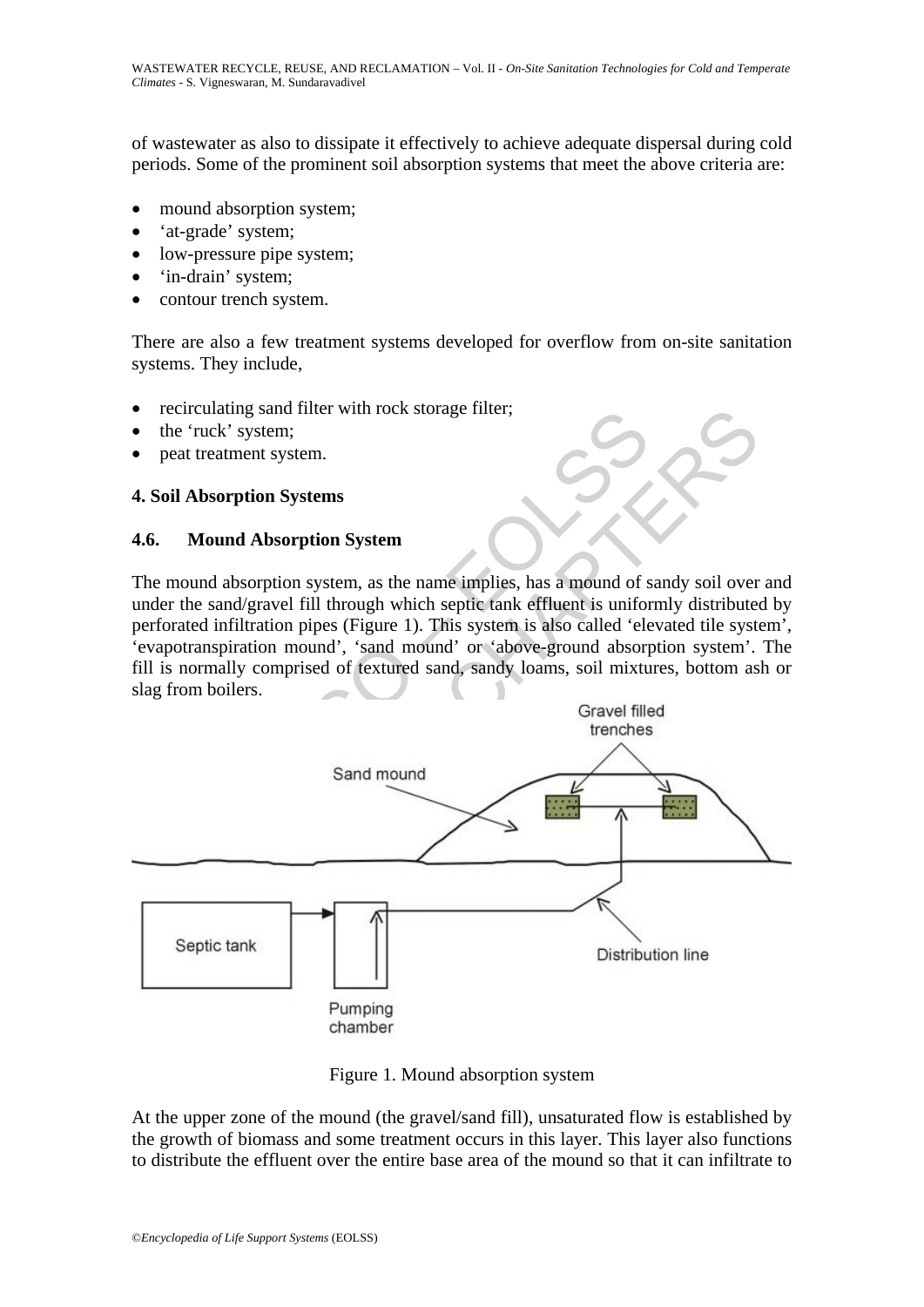of wastewater as also to dissipate it effectively to achieve adequate dispersal during cold periods. Some of the prominent soil absorption systems that meet the above criteria are:

- mound absorption system;
- 'at-grade' system;
- low-pressure pipe system;
- 'in-drain' system;
- contour trench system.

There are also a few treatment systems developed for overflow from on-site sanitation systems. They include,

- recirculating sand filter with rock storage filter;
- the 'ruck' system;
- peat treatment system.

### **4. Soil Absorption Systems**

#### **4.6. Mound Absorption System**

The mound absorption system, as the name implies, has a mound of sandy soil over and under the sand/gravel fill through which septic tank effluent is uniformly distributed by perforated infiltration pipes (Figure 1). This system is also called 'elevated tile system', 'evapotranspiration mound', 'sand mound' or 'above-ground absorption system'. The fill is normally comprised of textured sand, sandy loams, soil mixtures, bottom ash or slag from boilers.



Figure 1. Mound absorption system

At the upper zone of the mound (the gravel/sand fill), unsaturated flow is established by the growth of biomass and some treatment occurs in this layer. This layer also functions to distribute the effluent over the entire base area of the mound so that it can infiltrate to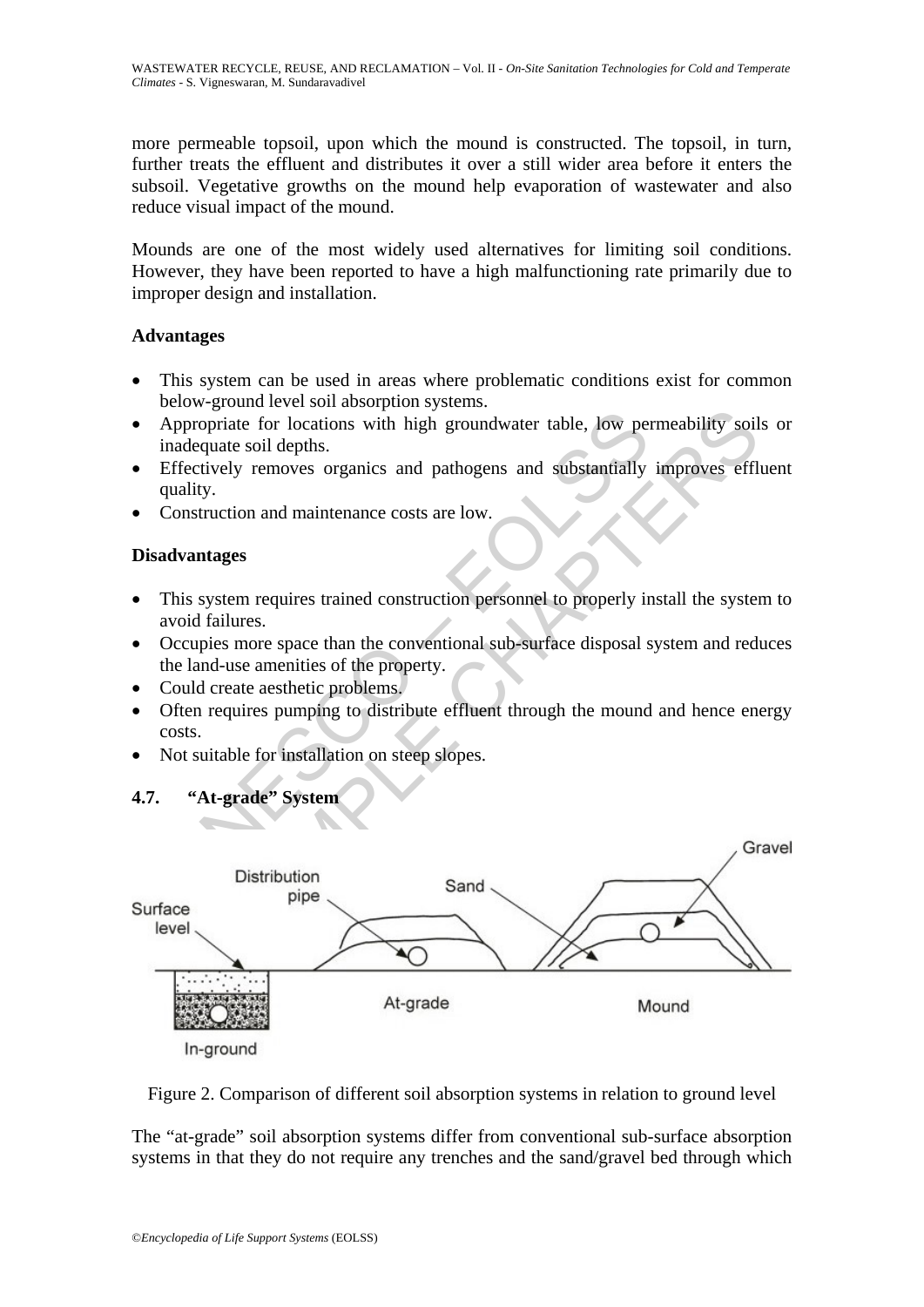more permeable topsoil, upon which the mound is constructed. The topsoil, in turn, further treats the effluent and distributes it over a still wider area before it enters the subsoil. Vegetative growths on the mound help evaporation of wastewater and also reduce visual impact of the mound.

Mounds are one of the most widely used alternatives for limiting soil conditions. However, they have been reported to have a high malfunctioning rate primarily due to improper design and installation.

## **Advantages**

- This system can be used in areas where problematic conditions exist for common below-ground level soil absorption systems.
- Appropriate for locations with high groundwater table, low permeability soils or inadequate soil depths.
- Effectively removes organics and pathogens and substantially improves effluent quality.
- Construction and maintenance costs are low.

# **Disadvantages**

- This system requires trained construction personnel to properly install the system to avoid failures.
- Occupies more space than the conventional sub-surface disposal system and reduces the land-use amenities of the property.
- Could create aesthetic problems.

**4.7. "At-grade" System** 

- Often requires pumping to distribute effluent through the mound and hence energy costs.
- Not suitable for installation on steep slopes.



Figure 2. Comparison of different soil absorption systems in relation to ground level

The "at-grade" soil absorption systems differ from conventional sub-surface absorption systems in that they do not require any trenches and the sand/gravel bed through which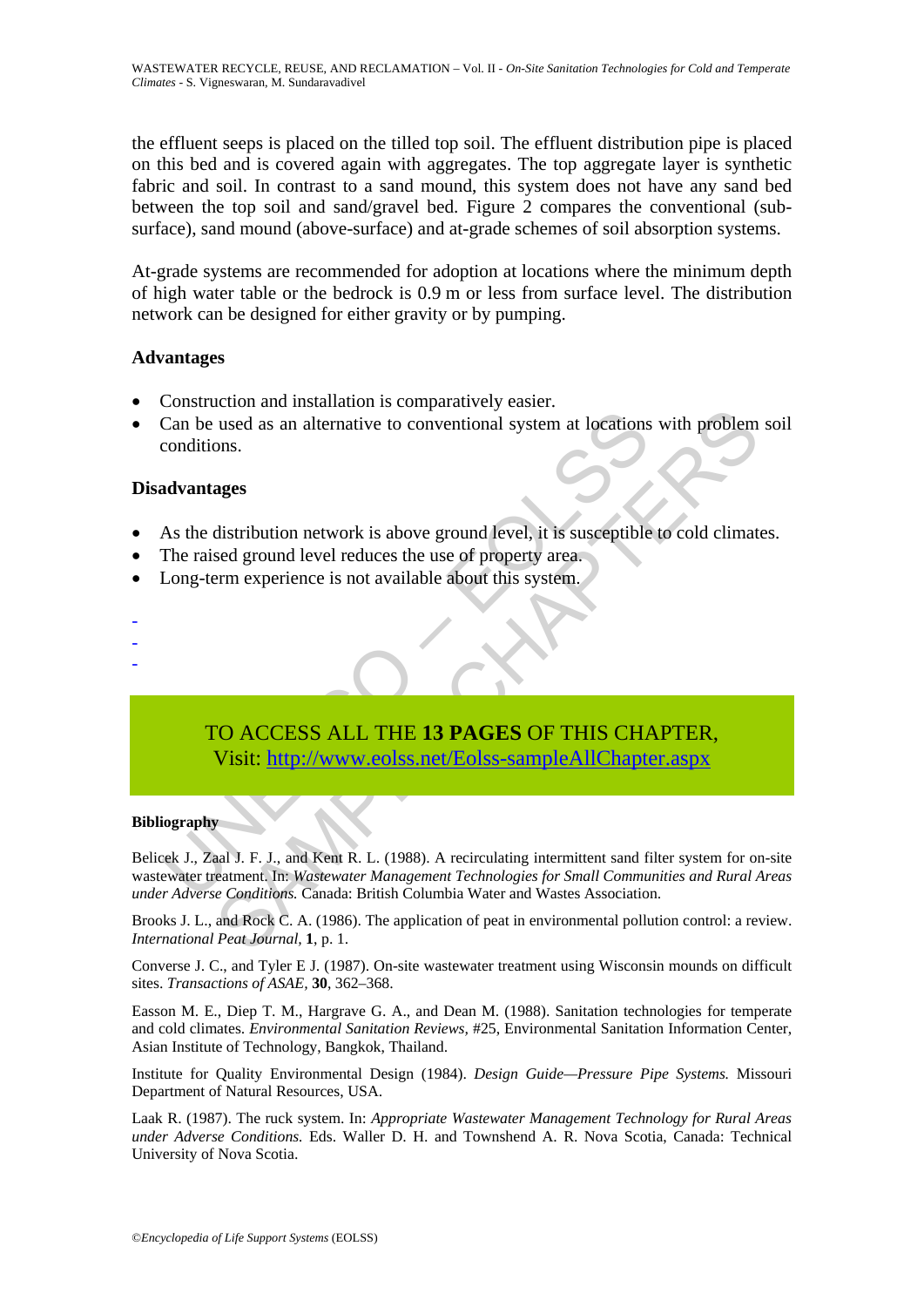the effluent seeps is placed on the tilled top soil. The effluent distribution pipe is placed on this bed and is covered again with aggregates. The top aggregate layer is synthetic fabric and soil. In contrast to a sand mound, this system does not have any sand bed between the top soil and sand/gravel bed. Figure 2 compares the conventional (subsurface), sand mound (above-surface) and at-grade schemes of soil absorption systems.

At-grade systems are recommended for adoption at locations where the minimum depth of high water table or the bedrock is 0.9 m or less from surface level. The distribution network can be designed for either gravity or by pumping.

#### **Advantages**

- Construction and installation is comparatively easier.
- Can be used as an alternative to conventional system at locations with problem soil conditions.

### **Disadvantages**

- As the distribution network is above ground level, it is susceptible to cold climates.
- The raised ground level reduces the use of property area.
- Long-term experience is not available about this system.
- -
- -

# TO ACCESS ALL THE **13 PAGES** OF THIS CHAPTER, Visit: http://www.eolss.net/Eolss-sampleAllChapter.aspx

#### **Bibliography**

Can be used as an alternative to conventional system at locations<br>conditions.<br>
As the distribution network is above ground level, it is susceptible<br>
The raised ground level reduces the use of property area.<br>
Long-term expe Experimental and and anti-<br>
used as an alternative to conventional system at locations with problem<br>
ons.<br>
ages<br>
distribution network is above ground level, it is susceptible to cold climat<br>
sed ground level reduces the us Belicek J., Zaal J. F. J., and Kent R. L. (1988). A recirculating intermittent sand filter system for on-site wastewater treatment. In: *Wastewater Management Technologies for Small Communities and Rural Areas under Adverse Conditions.* Canada: British Columbia Water and Wastes Association.

Brooks J. L., and Rock C. A. (1986). The application of peat in environmental pollution control: a review. *International Peat Journal,* **1**, p. 1.

Converse J. C., and Tyler E J. (1987). On-site wastewater treatment using Wisconsin mounds on difficult sites. *Transactions of ASAE,* **30**, 362–368.

Easson M. E., Diep T. M., Hargrave G. A., and Dean M. (1988). Sanitation technologies for temperate and cold climates. *Environmental Sanitation Reviews,* #25, Environmental Sanitation Information Center, Asian Institute of Technology, Bangkok, Thailand.

Institute for Quality Environmental Design (1984). *Design Guide—Pressure Pipe Systems.* Missouri Department of Natural Resources, USA.

Laak R. (1987). The ruck system. In: *Appropriate Wastewater Management Technology for Rural Areas under Adverse Conditions.* Eds. Waller D. H. and Townshend A. R. Nova Scotia, Canada: Technical University of Nova Scotia.